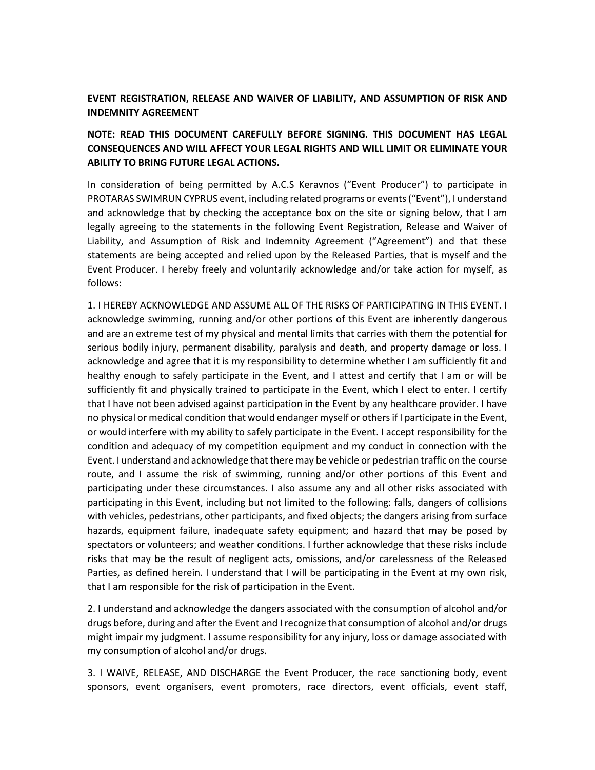## **EVENT REGISTRATION, RELEASE AND WAIVER OF LIABILITY, AND ASSUMPTION OF RISK AND INDEMNITY AGREEMENT**

## **NOTE: READ THIS DOCUMENT CAREFULLY BEFORE SIGNING. THIS DOCUMENT HAS LEGAL CONSEQUENCES AND WILL AFFECT YOUR LEGAL RIGHTS AND WILL LIMIT OR ELIMINATE YOUR ABILITY TO BRING FUTURE LEGAL ACTIONS.**

In consideration of being permitted by A.C.S Keravnos ("Event Producer") to participate in PROTARAS SWIMRUN CYPRUS event, including related programs or events ("Event"), I understand and acknowledge that by checking the acceptance box on the site or signing below, that I am legally agreeing to the statements in the following Event Registration, Release and Waiver of Liability, and Assumption of Risk and Indemnity Agreement ("Agreement") and that these statements are being accepted and relied upon by the Released Parties, that is myself and the Event Producer. I hereby freely and voluntarily acknowledge and/or take action for myself, as follows:

1. I HEREBY ACKNOWLEDGE AND ASSUME ALL OF THE RISKS OF PARTICIPATING IN THIS EVENT. I acknowledge swimming, running and/or other portions of this Event are inherently dangerous and are an extreme test of my physical and mental limits that carries with them the potential for serious bodily injury, permanent disability, paralysis and death, and property damage or loss. I acknowledge and agree that it is my responsibility to determine whether I am sufficiently fit and healthy enough to safely participate in the Event, and I attest and certify that I am or will be sufficiently fit and physically trained to participate in the Event, which I elect to enter. I certify that I have not been advised against participation in the Event by any healthcare provider. I have no physical or medical condition that would endanger myself or others if I participate in the Event, or would interfere with my ability to safely participate in the Event. I accept responsibility for the condition and adequacy of my competition equipment and my conduct in connection with the Event. I understand and acknowledge that there may be vehicle or pedestrian traffic on the course route, and I assume the risk of swimming, running and/or other portions of this Event and participating under these circumstances. I also assume any and all other risks associated with participating in this Event, including but not limited to the following: falls, dangers of collisions with vehicles, pedestrians, other participants, and fixed objects; the dangers arising from surface hazards, equipment failure, inadequate safety equipment; and hazard that may be posed by spectators or volunteers; and weather conditions. I further acknowledge that these risks include risks that may be the result of negligent acts, omissions, and/or carelessness of the Released Parties, as defined herein. I understand that I will be participating in the Event at my own risk, that I am responsible for the risk of participation in the Event.

2. I understand and acknowledge the dangers associated with the consumption of alcohol and/or drugs before, during and after the Event and I recognize that consumption of alcohol and/or drugs might impair my judgment. I assume responsibility for any injury, loss or damage associated with my consumption of alcohol and/or drugs.

3. I WAIVE, RELEASE, AND DISCHARGE the Event Producer, the race sanctioning body, event sponsors, event organisers, event promoters, race directors, event officials, event staff,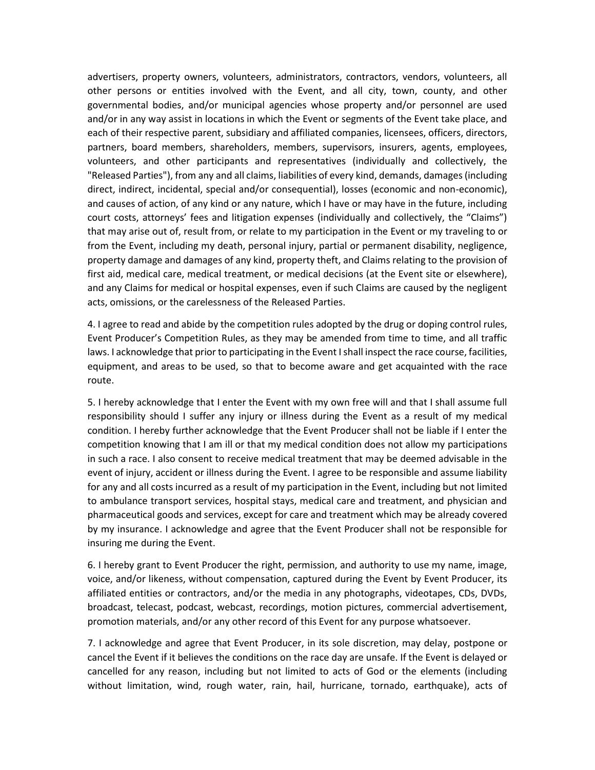advertisers, property owners, volunteers, administrators, contractors, vendors, volunteers, all other persons or entities involved with the Event, and all city, town, county, and other governmental bodies, and/or municipal agencies whose property and/or personnel are used and/or in any way assist in locations in which the Event or segments of the Event take place, and each of their respective parent, subsidiary and affiliated companies, licensees, officers, directors, partners, board members, shareholders, members, supervisors, insurers, agents, employees, volunteers, and other participants and representatives (individually and collectively, the "Released Parties"), from any and all claims, liabilities of every kind, demands, damages (including direct, indirect, incidental, special and/or consequential), losses (economic and non-economic), and causes of action, of any kind or any nature, which I have or may have in the future, including court costs, attorneys' fees and litigation expenses (individually and collectively, the "Claims") that may arise out of, result from, or relate to my participation in the Event or my traveling to or from the Event, including my death, personal injury, partial or permanent disability, negligence, property damage and damages of any kind, property theft, and Claims relating to the provision of first aid, medical care, medical treatment, or medical decisions (at the Event site or elsewhere), and any Claims for medical or hospital expenses, even if such Claims are caused by the negligent acts, omissions, or the carelessness of the Released Parties.

4. I agree to read and abide by the competition rules adopted by the drug or doping control rules, Event Producer's Competition Rules, as they may be amended from time to time, and all traffic laws. I acknowledge that prior to participating in the Event I shall inspect the race course, facilities, equipment, and areas to be used, so that to become aware and get acquainted with the race route.

5. I hereby acknowledge that I enter the Event with my own free will and that I shall assume full responsibility should I suffer any injury or illness during the Event as a result of my medical condition. I hereby further acknowledge that the Event Producer shall not be liable if I enter the competition knowing that I am ill or that my medical condition does not allow my participations in such a race. I also consent to receive medical treatment that may be deemed advisable in the event of injury, accident or illness during the Event. I agree to be responsible and assume liability for any and all costs incurred as a result of my participation in the Event, including but not limited to ambulance transport services, hospital stays, medical care and treatment, and physician and pharmaceutical goods and services, except for care and treatment which may be already covered by my insurance. I acknowledge and agree that the Event Producer shall not be responsible for insuring me during the Event.

6. I hereby grant to Event Producer the right, permission, and authority to use my name, image, voice, and/or likeness, without compensation, captured during the Event by Event Producer, its affiliated entities or contractors, and/or the media in any photographs, videotapes, CDs, DVDs, broadcast, telecast, podcast, webcast, recordings, motion pictures, commercial advertisement, promotion materials, and/or any other record of this Event for any purpose whatsoever.

7. I acknowledge and agree that Event Producer, in its sole discretion, may delay, postpone or cancel the Event if it believes the conditions on the race day are unsafe. If the Event is delayed or cancelled for any reason, including but not limited to acts of God or the elements (including without limitation, wind, rough water, rain, hail, hurricane, tornado, earthquake), acts of